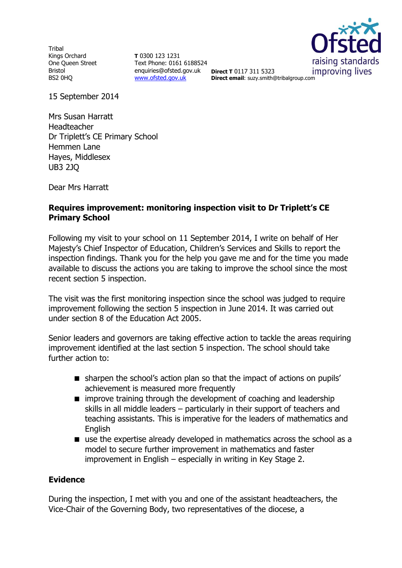**Tribal** Kings Orchard One Queen Street Bristol BS2 0HQ

**T** 0300 123 1231 Text Phone: 0161 6188524 enquiries@ofsted.gov.uk **Direct T** 0117 311 5323 [www.ofsted.gov.uk](http://www.ofsted.gov.uk/)



**Direct email**: suzy.smith@tribalgroup.com

15 September 2014

Mrs Susan Harratt Headteacher Dr Triplett's CE Primary School Hemmen Lane Hayes, Middlesex UB3 2JQ

Dear Mrs Harratt

#### **Requires improvement: monitoring inspection visit to Dr Triplett's CE Primary School**

Following my visit to your school on 11 September 2014, I write on behalf of Her Majesty's Chief Inspector of Education, Children's Services and Skills to report the inspection findings. Thank you for the help you gave me and for the time you made available to discuss the actions you are taking to improve the school since the most recent section 5 inspection.

The visit was the first monitoring inspection since the school was judged to require improvement following the section 5 inspection in June 2014. It was carried out under section 8 of the Education Act 2005.

Senior leaders and governors are taking effective action to tackle the areas requiring improvement identified at the last section 5 inspection. The school should take further action to:

- **sharpen the school's action plan so that the impact of actions on pupils'** achievement is measured more frequently
- $\blacksquare$  improve training through the development of coaching and leadership skills in all middle leaders – particularly in their support of teachers and teaching assistants. This is imperative for the leaders of mathematics and English
- use the expertise already developed in mathematics across the school as a model to secure further improvement in mathematics and faster improvement in English – especially in writing in Key Stage 2.

#### **Evidence**

During the inspection, I met with you and one of the assistant headteachers, the Vice-Chair of the Governing Body, two representatives of the diocese, a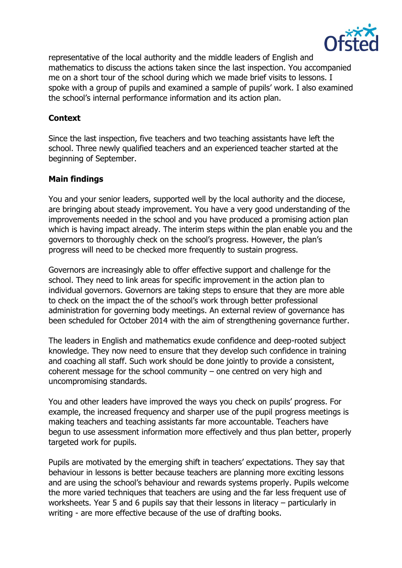

representative of the local authority and the middle leaders of English and mathematics to discuss the actions taken since the last inspection. You accompanied me on a short tour of the school during which we made brief visits to lessons. I spoke with a group of pupils and examined a sample of pupils' work. I also examined the school's internal performance information and its action plan.

# **Context**

Since the last inspection, five teachers and two teaching assistants have left the school. Three newly qualified teachers and an experienced teacher started at the beginning of September.

### **Main findings**

You and your senior leaders, supported well by the local authority and the diocese, are bringing about steady improvement. You have a very good understanding of the improvements needed in the school and you have produced a promising action plan which is having impact already. The interim steps within the plan enable you and the governors to thoroughly check on the school's progress. However, the plan's progress will need to be checked more frequently to sustain progress.

Governors are increasingly able to offer effective support and challenge for the school. They need to link areas for specific improvement in the action plan to individual governors. Governors are taking steps to ensure that they are more able to check on the impact the of the school's work through better professional administration for governing body meetings. An external review of governance has been scheduled for October 2014 with the aim of strengthening governance further.

The leaders in English and mathematics exude confidence and deep-rooted subject knowledge. They now need to ensure that they develop such confidence in training and coaching all staff. Such work should be done jointly to provide a consistent, coherent message for the school community – one centred on very high and uncompromising standards.

You and other leaders have improved the ways you check on pupils' progress. For example, the increased frequency and sharper use of the pupil progress meetings is making teachers and teaching assistants far more accountable. Teachers have begun to use assessment information more effectively and thus plan better, properly targeted work for pupils.

Pupils are motivated by the emerging shift in teachers' expectations. They say that behaviour in lessons is better because teachers are planning more exciting lessons and are using the school's behaviour and rewards systems properly. Pupils welcome the more varied techniques that teachers are using and the far less frequent use of worksheets. Year 5 and 6 pupils say that their lessons in literacy – particularly in writing - are more effective because of the use of drafting books.